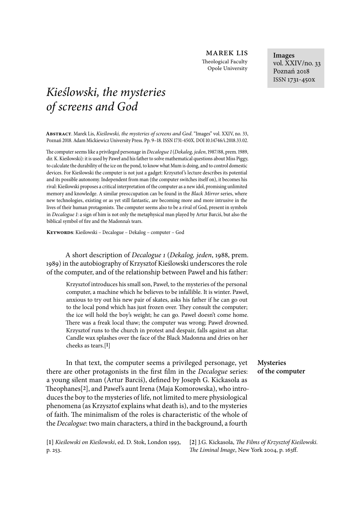marek lis Theological Faculty Opole University

# *Kie*ś*lowski, the mysteries of screens and God*

**Abstract**. Marek Lis, *Kie*ś*lowski, the mysteries of screens and God*. "Images" vol. XXIV, no. , Poznań 2018. Adam Mickiewicz University Press. Pp. 9-18. ISSN 1731-450X. DOI 10.14746/i.2018.33.02.

The computer seems like a privileged personage in *Decalogue 1* (*Dekalog, jeden*, 1987/88, prem. 1989, dir. K. Kieślowski): it is used by Paweł and his father to solve mathematical questions about Miss Piggy, to calculate the durability of the ice on the pond, to know what Mum is doing, and to control domestic devices. For Kieślowski the computer is not just a gadget: Krzysztof 's lecture describes its potential and its possible autonomy. Independent from man (the computer switches itself on), it becomes his rival: Kieślowski proposes a critical interpretation of the computer as a new idol, promising unlimited memory and knowledge. A similar preoccupation can be found in the *Black Mirror* series, where new technologies, existing or as yet still fantastic, are becoming more and more intrusive in the lives of their human protagonists. The computer seems also to be a rival of God, present in symbols in *Decalogue* 1: a sign of him is not only the metaphysical man played by Artur Barciś, but also the biblical symbol of fire and the Madonna's tears.

**Keywords**: Kieślowski – Decalogue – Dekalog – computer – God

A short description of *Decalogue* 1 (*Dekalog, jeden*, 1988, prem. 1989) in the autobiography of Krzysztof Kieślowski underscores the role of the computer, and of the relationship between Paweł and his father:

Krzysztof introduces his small son, Paweł, to the mysteries of the personal computer, a machine which he believes to be infallible. It is winter. Paweł, anxious to try out his new pair of skates, asks his father if he can go out to the local pond which has just frozen over. They consult the computer; the ice will hold the boy's weight; he can go. Paweł doesn't come home. There was a freak local thaw; the computer was wrong; Paweł drowned. Krzysztof runs to the church in protest and despair, falls against an altar. Candle wax splashes over the face of the Black Madonna and dries on her cheeks as tears.[**1**]

In that text, the computer seems a privileged personage, yet there are other protagonists in the first film in the *Decalogue* series: a young silent man (Artur Barciś), defined by Joseph G. Kickasola as 5eophanes[**2**], and Paweł's aunt Irena (Maja Komorowska), who introduces the boy to the mysteries of life, not limited to mere physiological phenomena (as Krzysztof explains what death is), and to the mysteries of faith. The minimalism of the roles is characteristic of the whole of the *Decalogue*: two main characters, a third in the background, a fourth

**[1]** *Kie*ś*lowski on Kie*ś*lowski*, ed. D. Stok, London 1993, p. 253.

**[2]** J.G. Kickasola, \$*e Films of Krzysztof Kie*ś*lowski.*  The Liminal Image, New York 2004, p. 163ff.

## **Mysteries of the computer**

**Images** vol. XXIV/no. 33 Poznań 2018 ISSN 1731-450x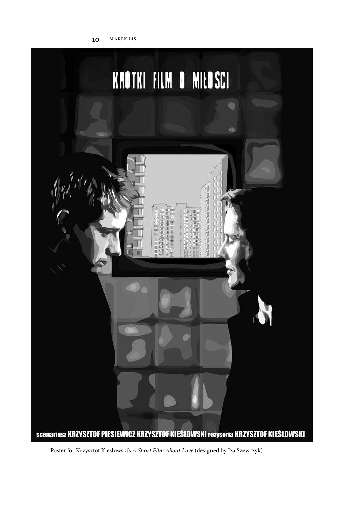

Poster for Krzysztof Kieślowski's *A Short Film About Love* (designed by Iza Szewczyk)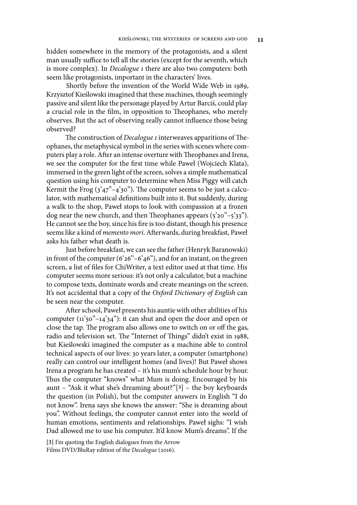hidden somewhere in the memory of the protagonists, and a silent man usually suffice to tell all the stories (except for the seventh, which is more complex). In *Decalogue* 1 there are also two computers: both seem like protagonists, important in the characters' lives.

Shortly before the invention of the World Wide Web in 1989, Krzysztof Kieślowski imagined that these machines, though seemingly passive and silent like the personage played by Artur Barciś, could play a crucial role in the film, in opposition to Theophanes, who merely observes. But the act of observing really cannot influence those being observed?

The construction of *Decalogue 1* interweaves apparitions of Theophanes, the metaphysical symbol in the series with scenes where computers play a role. After an intense overture with Theophanes and Irena, we see the computer for the 6rst time while Paweł (Wojciech Klata), immersed in the green light of the screen, solves a simple mathematical question using his computer to determine when Miss Piggy will catch Kermit the Frog  $(3^247^{\degree}-4^230^{\degree})$ . The computer seems to be just a calculator, with mathematical definitions built into it. But suddenly, during a walk to the shop, Paweł stops to look with compassion at a frozen dog near the new church, and then Theophanes appears  $(5'20''-5'33'')$ . He cannot see the boy, since his fire is too distant, though his presence seems like a kind of *memento mori*. AFerwards, during breakfast, Paweł asks his father what death is.

Just before breakfast, we can see the father (Henryk Baranowski) in front of the computer  $(6'26" - 6'46")$ , and for an instant, on the green screen, a list of files for ChiWriter, a text editor used at that time. His computer seems more serious: it's not only a calculator, but a machine to compose texts, dominate words and create meanings on the screen. It's not accidental that a copy of the *Oxford Dictionary of English* can be seen near the computer.

AFer school, Paweł presents his auntie with other abilities of his computer  $(11)$ <sup>2</sup>50<sup>"</sup> $-14$ <sup>2</sup> $34$ "): it can shut and open the door and open or close the tap. The program also allows one to switch on or off the gas, radio and television set. The "Internet of Things" didn't exist in 1988, but Kieślowski imagined the computer as a machine able to control technical aspects of our lives: 30 years later, a computer (smartphone) really can control our intelligent homes (and lives)! But Paweł shows Irena a program he has created – it's his mum's schedule hour by hour. Thus the computer "knows" what Mum is doing. Encouraged by his aunt – "Ask it what she's dreaming about?"[**3**] – the boy keyboards the question (in Polish), but the computer answers in English "I do not know". Irena says she knows the answer: "She is dreaming about you". Without feelings, the computer cannot enter into the world of human emotions, sentiments and relationships. Paweł sighs: "I wish Dad allowed me to use his computer. It'd know Mum's dreams". If the

**[3]** I'm quoting the English dialogues from the Arrow Films DVD/BluRay edition of the *Decalogue* (2016).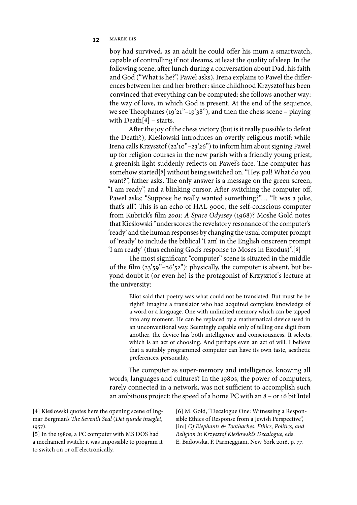## 12 **MAREK LIS**

boy had survived, as an adult he could offer his mum a smartwatch, capable of controlling if not dreams, at least the quality of sleep. In the following scene, after lunch during a conversation about Dad, his faith and God ("What is he?", Paweł asks), Irena explains to Paweł the differences between her and her brother: since childhood Krzysztof has been convinced that everything can be computed; she follows another way: the way of love, in which God is present. At the end of the sequence, we see Theophanes (19'21"–19'38"), and then the chess scene – playing with Death[**4**] – starts.

AFer the joy of the chess victory (but is it really possible to defeat the Death?), Kieślowski introduces an overtly religious motif: while Irena calls Krzysztof (22'10"–23'26") to inform him about signing Paweł up for religion courses in the new parish with a friendly young priest, a greenish light suddenly reflects on Paweł's face. The computer has somehow started[**5**] without being switched on. "Hey, pal! What do you want?", father asks. The only answer is a message on the green screen, "I am ready", and a blinking cursor. After switching the computer off, Paweł asks: "Suppose he really wanted something?"… "It was a joke, that's all". This is an echo of HAL 9000, the self-conscious computer from Kubrick's 6lm 2001*: A Space Odyssey* (1968)? Moshe Gold notes that Kieślowski "underscores the revelatory resonance of the computer's 'ready' and the human responses by changing the usual computer prompt of 'ready' to include the biblical 'I am' in the English onscreen prompt 'I am ready' (thus echoing God's response to Moses in Exodus)".[**6**]

The most significant "computer" scene is situated in the middle of the film  $(23'59" - 26'52")$ : physically, the computer is absent, but beyond doubt it (or even he) is the protagonist of Krzysztof 's lecture at the university:

Eliot said that poetry was what could not be translated. But must he be right? Imagine a translator who had acquired complete knowledge of a word or a language. One with unlimited memory which can be tapped into any moment. He can be replaced by a mathematical device used in an unconventional way. Seemingly capable only of telling one digit from another, the device has both intelligence and consciousness. It selects, which is an act of choosing. And perhaps even an act of will. I believe that a suitably programmed computer can have its own taste, aesthetic preferences, personality.

The computer as super-memory and intelligence, knowing all words, languages and cultures? In the 1980s, the power of computers, rarely connected in a network, was not sufficient to accomplish such an ambitious project: the speed of a home PC with an 8 – or 16 bit Intel

**[4]** Kieślowski quotes here the opening scene of Ingmar Bergman's The Seventh Seal (Det sjunde inseglet, 1957).

**[5]** In the 1980s, a PC computer with MS DOS had a mechanical switch: it was impossible to program it to switch on or off electronically.

**[6]** M. Gold, "Decalogue One: Witnessing a Responsible Ethics of Response from a Jewish Perspective", [in:] *Of Elephants & Toothaches. Ethics, Politics, and Religion in Krzysztof Kie*ś*lowski's Decalogue*, eds. E. Badowska, F. Parmeggiani, New York 2016, p. 77.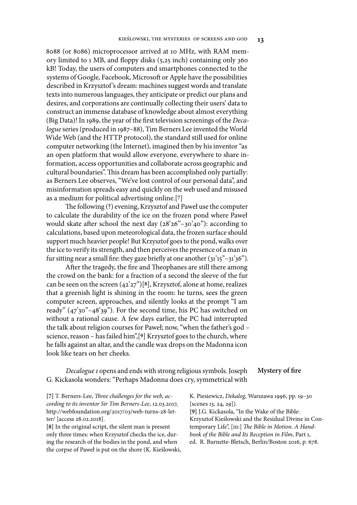8088 (or 8086) microprocessor arrived at 10 MHz, with RAM memory limited to 1 MB, and floppy disks (5,25 inch) containing only 360 kB! Today, the users of computers and smartphones connected to the systems of Google, Facebook, Microsoft or Apple have the possibilities described in Krzysztof 's dream: machines suggest words and translate texts into numerous languages, they anticipate or predict our plans and desires, and corporations are continually collecting their users' data to construct an immense database of knowledge about almost everything (Big Data)! In 1989, the year of the 6rst television screenings of the *Decalogue* series (produced in 1987–88), Tim Berners Lee invented the World Wide Web (and the HTTP protocol), the standard still used for online computer networking (the Internet), imagined then by his inventor "as an open platform that would allow everyone, everywhere to share information, access opportunities and collaborate across geographic and cultural boundaries". This dream has been accomplished only partially: as Berners Lee observes, "We've lost control of our personal data", and misinformation spreads easy and quickly on the web used and misused as a medium for political advertising online.[**7**]

The following (?) evening, Krzysztof and Paweł use the computer to calculate the durability of the ice on the frozen pond where Paweł would skate after school the next day  $(28'26" - 30'40")$ : according to calculations, based upon meteorological data, the frozen surface should support much heavier people! But Krzysztof goes to the pond, walks over the ice to verify its strength, and then perceives the presence of a man in fur sitting near a small fire: they gaze briefly at one another  $(31'15" - 31'36")$ .

After the tragedy, the fire and Theophanes are still there among the crowd on the bank: for a fraction of a second the sleeve of the fur can be seen on the screen (42'27")[**8**], Krzysztof, alone at home, realizes that a greenish light is shining in the room: he turns, sees the green computer screen, approaches, and silently looks at the prompt "I am ready" (47'30"–48'39"). For the second time, his PC has switched on without a rational cause. A few days earlier, the PC had interrupted the talk about religion courses for Paweł; now, "when the father's god – science, reason – has failed him",[**9**] Krzysztof goes to the church, where he falls against an altar, and the candle wax drops on the Madonna icon look like tears on her cheeks.

*Decalogue* 1 opens and ends with strong religious symbols. Joseph G. Kickasola wonders: "Perhaps Madonna does cry, symmetrical with **Mystery of /re**

[7] T. Berners-Lee, *Three challenges for the web, according to its inventor Sir Tim Berners-Lee*, 12.03.2017, http://webfoundation.org/2017/03/web-turns-28-letter/ [access 28.02.2018].

**[8]** In the original script, the silent man is present only three times: when Krzysztof checks the ice, during the research of the bodies in the pond, and when the corpse of Paweł is put on the shore (K. Kieślowski, K. Piesiewicz, *Dekalog*, Warszawa 1996, pp. 19–30 [scenes 13, 24, 29]).

**[9]** J.G. Kickasola, "In the Wake of the Bible: Krzysztof Kieślowski and the Residual Divine in Contemporary Life", [in:] The Bible in Motion. A *Handbook of the Bible and Its Reception in Film*, Part 1, ed. R. Burnette-Bletsch, Berlin/Boston 2016, p. 678.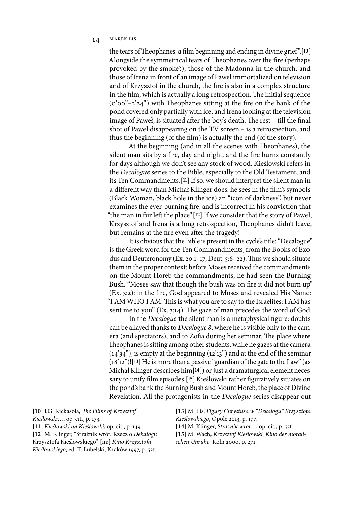## 14 MAREK LIS

the tears of Theophanes: a film beginning and ending in divine grief".<sup>[10]</sup> Alongside the symmetrical tears of Theophanes over the fire (perhaps provoked by the smoke?), those of the Madonna in the church, and those of Irena in front of an image of Paweł immortalized on television and of Krzysztof in the church, the fire is also in a complex structure in the film, which is actually a long retrospection. The initial sequence  $(0°00" - 2'24")$  with Theophanes sitting at the fire on the bank of the pond covered only partially with ice, and Irena looking at the television image of Paweł, is situated after the boy's death. The rest – till the final shot of Paweł disappearing on the TV screen – is a retrospection, and thus the beginning (of the 6lm) is actually the end (of the story).

At the beginning (and in all the scenes with Theophanes), the silent man sits by a fire, day and night, and the fire burns constantly for days although we don't see any stock of wood. Kieślowski refers in the *Decalogue* series to the Bible, especially to the Old Testament, and its Ten Commandments.[**11**] If so, we should interpret the silent man in a different way than Michał Klinger does: he sees in the film's symbols (Black Woman, black hole in the ice) an "icon of darkness", but never examines the ever-burning fire, and is incorrect in his conviction that "the man in fur left the place".<sup>[12]</sup> If we consider that the story of Paweł, Krzysztof and Irena is a long retrospection, Theophanes didn't leave, but remains at the fire even after the tragedy!

It is obvious that the Bible is present in the cycle's title: "Decalogue" is the Greek word for the Ten Commandments, from the Books of Exodus and Deuteronomy (Ex. 20:1–17; Deut. 5:6–22). Thus we should situate them in the proper context: before Moses received the commandments on the Mount Horeb the commandments, he had seen the Burning Bush. "Moses saw that though the bush was on fire it did not burn up" (Ex. 3:2): in the 6re, God appeared to Moses and revealed His Name: "I AM WHO I AM. This is what you are to say to the Israelites: I AM has sent me to you" (Ex. 3:14). The gaze of man precedes the word of God.

In the *Decalogue* the silent man is a metaphysical figure: doubts can be allayed thanks to *Decalogue* 8, where he is visible only to the camera (and spectators), and to Zofia during her seminar. The place where Theophanes is sitting among other students, while he gazes at the camera  $(14'34'')$ , is empty at the beginning  $(12'13'')$  and at the end of the seminar (18'12")![**13**] He is more than a passive "guardian of the gate to the Law" (as Michał Klinger describes him[**14**]) or just a dramaturgical element necessary to unify 6lm episodes.[**15**] Kieślowski rather 6guratively situates on the pond's bank the Burning Bush and Mount Horeb, the place of Divine Revelation. All the protagonists in the *Decalogue* series disappear out

**[10]** J.G. Kickasola, \$*e Films of Krzysztof Kie*ś*lowski…*, op. cit., p. 173. **[11]** *Kie*ś*lowski on Kie*ś*lowski*, op. cit., p. 149. **[12]** M. Klinger, "Strażnik wrót. Rzecz o *Dekalogu* Krzysztofa Kieślowskiego", [in:] *Kino Krzysztofa Kie*ś*lowskiego*, ed. T. Lubelski, Kraków 1997, p. 52f.

**[13]** M. Lis, *Figury Chrystusa w "Dekalogu" Krzysztofa Kie*ś*lowskiego*, Opole 2013, p. 177.

**[14]** M. Klinger, *Stra*ż*nik wrót…*, op. cit*.*, p. 52f.

**[15]** M. Wach, *Krzysztof Kie*ś*lowski. Kino der moralischen Unruhe*, Köln 2000, p. 271.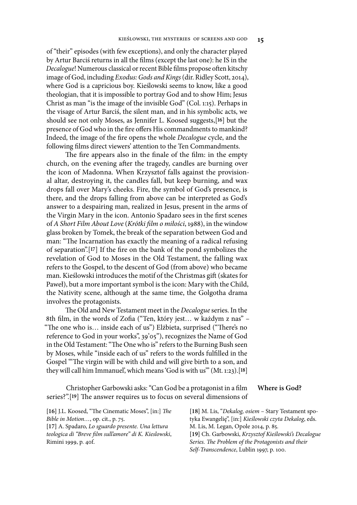of "their" episodes (with few exceptions), and only the character played by Artur Barciś returns in all the 6lms (except the last one): he IS in the *Decalogue*! Numerous classical or recent Bible films propose often kitschy image of God, including *Exodus: Gods and Kings* (dir. Ridley Scott, 2014), where God is a capricious boy. Kieślowski seems to know, like a good theologian, that it is impossible to portray God and to show Him; Jesus Christ as man "is the image of the invisible God" (Col. 1:15). Perhaps in the visage of Artur Barciś, the silent man, and in his symbolic acts, we should see not only Moses, as Jennifer L. Koosed suggests,[**16**] but the presence of God who in the fire offers His commandments to mankind? Indeed, the image of the 6re opens the whole *Decalogue* cycle, and the following films direct viewers' attention to the Ten Commandments.

The fire appears also in the finale of the film: in the empty church, on the evening after the tragedy, candles are burning over the icon of Madonna. When Krzysztof falls against the provisional altar, destroying it, the candles fall, but keep burning, and wax drops fall over Mary's cheeks. Fire, the symbol of God's presence, is there, and the drops falling from above can be interpreted as God's answer to a despairing man, realized in Jesus, present in the arms of the Virgin Mary in the icon. Antonio Spadaro sees in the first scenes of *A Short Film About Love* (*Krótki* )*lm o mi*ł*o*ś*ci*, 1988), in the window glass broken by Tomek, the break of the separation between God and man: "The Incarnation has exactly the meaning of a radical refusing of separation".[**17**] If the 6re on the bank of the pond symbolizes the revelation of God to Moses in the Old Testament, the falling wax refers to the Gospel, to the descent of God (from above) who became man. Kieślowski introduces the motif of the Christmas gift (skates for Paweł), but a more important symbol is the icon: Mary with the Child, the Nativity scene, although at the same time, the Golgotha drama involves the protagonists.

The Old and New Testament meet in the *Decalogue* series. In the 8th film, in the words of Zofia ("Ten, który jest... w każdym z nas" – "The one who is... inside each of us") Elżbieta, surprised ("There's no reference to God in your works", 39'05"), recognizes the Name of God in the Old Testament: "The One who is" refers to the Burning Bush seen by Moses, while "inside each of us" refers to the words fulfilled in the Gospel "The virgin will be with child and will give birth to a son, and they will call him Immanuel', which means 'God is with us'" (Mt. 1:23).[**18**]

Christopher Garbowski asks: "Can God be a protagonist in a 6lm series?".<sup>[19]</sup> The answer requires us to focus on several dimensions of **Where is God?**

**[18]** M. Lis, "*Dekalog, osiem* – Stary Testament spotyka Ewangelię", [in:] *Kie*ś*lowski czyta Dekalog*, eds.

*Bible in Motion…*, op. cit., p. 75. **[17]** A. Spadaro, *Lo sguardo presente. Una lettura teologica di "Breve* )*lm sull'amore" di K. Kieslowski*, Rimini 1999, p. 40f.

[16] J.L. Koosed, "The Cinematic Moses", [in:] The

M. Lis, M. Legan, Opole 2014, p. 85. **[19]** Ch. Garbowski, *Krzysztof Kie*ś*lowski's Decalogue*  Series. The Problem of the Protagonists and their *Self-Transcendence*, Lublin 1997, p. 100.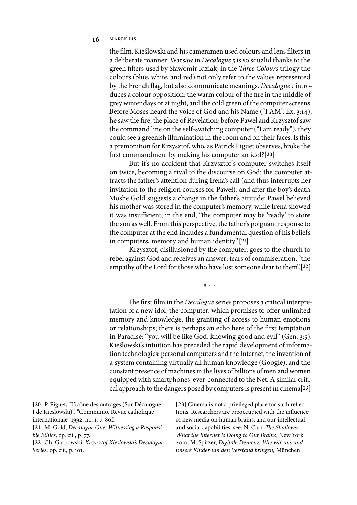## 16 **MAREK LIS**

the 6lm. Kieślowski and his cameramen used colours and lens 6lters in a deliberate manner: Warsaw in *Decalogue* 5 is so squalid thanks to the green filters used by Sławomir Idziak; in the *Three Colours* trilogy the colours (blue, white, and red) not only refer to the values represented by the French Eag, but also communicate meanings. *Decalogue* 1 introduces a colour opposition: the warm colour of the fire in the middle of grey winter days or at night, and the cold green of the computer screens. Before Moses heard the voice of God and his Name ("I AM", Ex. 3:14), he saw the 6re, the place of Revelation; before Paweł and Krzysztof saw the command line on the self-switching computer ("I am ready"), they could see a greenish illumination in the room and on their faces. Is this a premonition for Krzysztof, who, as Patrick Piguet observes, broke the 6rst commandment by making his computer an idol?[**20**]

But it's no accident that Krzysztof 's computer switches itself on twice, becoming a rival to the discourse on God: the computer attracts the father's attention during Irena's call (and thus interrupts her invitation to the religion courses for Paweł), and after the boy's death. Moshe Gold suggests a change in the father's attitude: Paweł believed his mother was stored in the computer's memory, while Irena showed it was insufficient; in the end, "the computer may be 'ready' to store the son as well. From this perspective, the father's poignant response to the computer at the end includes a fundamental question of his beliefs in computers, memory and human identity".[**21**]

Krzysztof, disillusioned by the computer, goes to the church to rebel against God and receives an answer: tears of commiseration, "the empathy of the Lord for those who have lost someone dear to them".[**22**]

\* \* \*

The first film in the *Decalogue* series proposes a critical interpretation of a new idol, the computer, which promises to offer unlimited memory and knowledge, the granting of access to human emotions or relationships; there is perhaps an echo here of the first temptation in Paradise: "you will be like God, knowing good and evil" (Gen. 3:5). Kieślowski's intuition has preceded the rapid development of information technologies: personal computers and the Internet, the invention of a system containing virtually all human knowledge (Google), and the constant presence of machines in the lives of billions of men and women equipped with smartphones, ever-connected to the Net. A similar critical approach to the dangers posed by computers is present in cinema[**23**]

**[20]** P. Piguet, "L'icône des outrages (Sur Décalogue I de Kieslowski)", "Communio. Revue catholique internationale" 1992, no. 1, p. 80f. **[21]** M. Gold, *Decalogue One: Witnessing a Responsible Ethics*, op. cit*.*, p. 77. **[22]** Ch. Garbowski, *Krzysztof Kie*ś*lowski's Decalogue Series*, op. cit*.*, p. 101.

[23] Cinema is not a privileged place for such reflections. Researchers are preoccupied with the influence of new media on human brains, and our intellectual and social capabilities; see: N. Carr, *The Shallows: What the Internet Is Doing to Our Brains*, New York 2010, M. Spitzer, *Digitale Demenz: Wie wir uns und unsere Kinder um den Verstand bringen*, München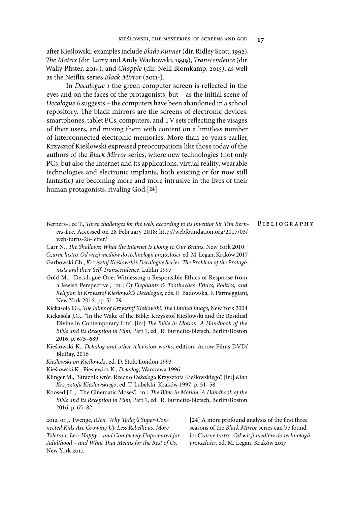aFer Kieślowski: examples include *Blade Runner* (dir. Ridley Scott, 1992), \$*e Matrix* (dir. Larry and Andy Wachowski, 1999), *Transcendence* (dir. Wally P6ster, 2014), and *Chappie* (dir. Neill Blomkamp, 2015), as well as the Netflix series *Black Mirror* (2011-).

In *Decalogue 1* the green computer screen is reflected in the eyes and on the faces of the protagonists, but – as the initial scene of *Decalogue* 6 suggests – the computers have been abandoned in a school repository. The black mirrors are the screens of electronic devices: smartphones, tablet PCs, computers, and TV sets reflecting the visages of their users, and mixing them with content on a limitless number of interconnected electronic memories. More than 20 years earlier, Krzysztof Kieślowski expressed preoccupations like those today of the authors of the *Black Mirror* series, where new technologies (not only PCs, but also the Internet and its applications, virtual reality, wearable technologies and electronic implants, both existing or for now still fantastic) are becoming more and more intrusive in the lives of their human protagonists, rivaling God.[**24**]

- Berners-Lee T., Three challenges for the web, according to its inventor Sir Tim Bern*ers-Lee*. Accessed on 28 February 2018: http://webfoundation.org/2017/03/ web-turns-28-letter/ B ibliography
- Carr N., \$*e Shallows: What the Internet Is Doing to Our Brains*, New York 2010

*Czarne lustro. Od wizji mediów do technologii przysz*ł*o*ś*ci*, ed. M. Legan, Kraków 2017

- Garbowski Ch., *Krzysztof Kie*ś*lowski's Decalogue Series.* \$*e Problem of the Protagonists and their Self-Transcendence*, Lublin 1997
- Gold M., "Decalogue One: Witnessing a Responsible Ethics of Response from a Jewish Perspective", [in:] *Of Elephants & Toothaches. Ethics, Politics, and Religion in Krzysztof Kie*ś*lowski's Decalogue*, eds. E. Badowska, F. Parmeggiani, New York 2016, pp. 51–79

Kickasola J.G., \$*e Films of Krzysztof Kie*ś*lowski.* \$*e Liminal Image*, New York 2004

- Kickasola J.G., "In the Wake of the Bible: Krzysztof Kieślowski and the Residual Divine in Contemporary Life", [in:] \$*e Bible in Motion. A Handbook of the Bible and Its Reception in Film*, Part 1, ed. R. Burnette-Bletsch, Berlin/Boston 2016, p. 675–689
- Kieślowski K., *Dekalog and other television works*, edition: Arrow Films DVD/ BluRay, 2016
- *Kie*ś*lowski on Kie*ś*lowski*, ed. D. Stok, London 1993
- Kieślowski K., Piesiewicz K., *Dekalog*, Warszawa 1996
- Klinger M., "Strażnik wrót. Rzecz o *Dekalogu* Krzysztofa Kieślowskiego", [in:] *Kino Krzysztofa Kie*ś*lowskiego*, ed. T. Lubelski, Kraków 1997, p. 51–58
- Koosed J.L., "The Cinematic Moses", [in:] The Bible in Motion. A *Handbook of the Bible and Its Reception in Film*, Part 1, ed. R. Burnette-Bletsch, Berlin/Boston 2016, p. 65–82

2012, or J. Twenge, *iGen. Why Today's Super-Connected Kids Are Growing Up Less Rebellious, More Tolerant, Less Happy – and Completely Unprepared for Adulthood – and What* \$*at Means for the Rest of Us*, New York 2017.

[24] A more profound analysis of the first three seasons of the *Black Mirror* series can be found in: *Czarne lustro. Od wizji mediów do technologii przysz*ł*o*ś*ci*, ed. M. Legan, Kraków 2017.